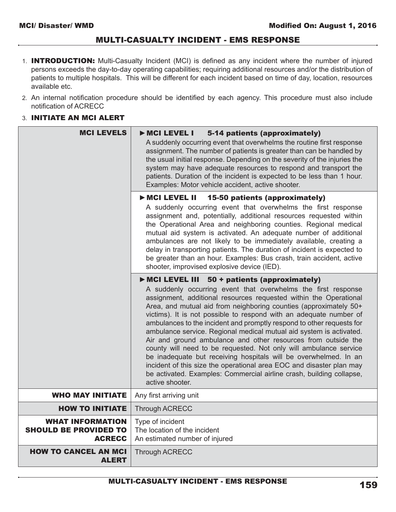# MULTI-CASUALTY INCIDENT - EMS RESPONSE

- 1. **INTRODUCTION:** Multi-Casualty Incident (MCI) is defined as any incident where the number of injured persons exceeds the day-to-day operating capabilities; requiring additional resources and/or the distribution of patients to multiple hospitals. This will be different for each incident based on time of day, location, resources available etc.
- 2. An internal notification procedure should be identified by each agency. This procedure must also include notification of ACRECC

### 3. INITIATE AN MCI ALERT

| <b>MCI LEVELS</b>                                                        | 5-14 patients (approximately)<br>MCI LEVEL I<br>A suddenly occurring event that overwhelms the routine first response<br>assignment. The number of patients is greater than can be handled by<br>the usual initial response. Depending on the severity of the injuries the<br>system may have adequate resources to respond and transport the<br>patients. Duration of the incident is expected to be less than 1 hour.<br>Examples: Motor vehicle accident, active shooter.                                                                                                                                                                                                                                                                                                                                                                              |
|--------------------------------------------------------------------------|-----------------------------------------------------------------------------------------------------------------------------------------------------------------------------------------------------------------------------------------------------------------------------------------------------------------------------------------------------------------------------------------------------------------------------------------------------------------------------------------------------------------------------------------------------------------------------------------------------------------------------------------------------------------------------------------------------------------------------------------------------------------------------------------------------------------------------------------------------------|
|                                                                          | MCI LEVEL II<br>15-50 patients (approximately)<br>A suddenly occurring event that overwhelms the first response<br>assignment and, potentially, additional resources requested within<br>the Operational Area and neighboring counties. Regional medical<br>mutual aid system is activated. An adequate number of additional<br>ambulances are not likely to be immediately available, creating a<br>delay in transporting patients. The duration of incident is expected to<br>be greater than an hour. Examples: Bus crash, train accident, active<br>shooter, improvised explosive device (IED).                                                                                                                                                                                                                                                       |
|                                                                          | MCI LEVEL III 50 + patients (approximately)<br>A suddenly occurring event that overwhelms the first response<br>assignment, additional resources requested within the Operational<br>Area, and mutual aid from neighboring counties (approximately 50+<br>victims). It is not possible to respond with an adequate number of<br>ambulances to the incident and promptly respond to other requests for<br>ambulance service. Regional medical mutual aid system is activated.<br>Air and ground ambulance and other resources from outside the<br>county will need to be requested. Not only will ambulance service<br>be inadequate but receiving hospitals will be overwhelmed. In an<br>incident of this size the operational area EOC and disaster plan may<br>be activated. Examples: Commercial airline crash, building collapse,<br>active shooter. |
| <b>WHO MAY INITIATE</b>                                                  | Any first arriving unit                                                                                                                                                                                                                                                                                                                                                                                                                                                                                                                                                                                                                                                                                                                                                                                                                                   |
| <b>HOW TO INITIATE</b>                                                   | <b>Through ACRECC</b>                                                                                                                                                                                                                                                                                                                                                                                                                                                                                                                                                                                                                                                                                                                                                                                                                                     |
| <b>WHAT INFORMATION</b><br><b>SHOULD BE PROVIDED TO</b><br><b>ACRECC</b> | Type of incident<br>The location of the incident<br>An estimated number of injured                                                                                                                                                                                                                                                                                                                                                                                                                                                                                                                                                                                                                                                                                                                                                                        |
| <b>HOW TO CANCEL AN MCI</b><br><b>ALERT</b>                              | <b>Through ACRECC</b>                                                                                                                                                                                                                                                                                                                                                                                                                                                                                                                                                                                                                                                                                                                                                                                                                                     |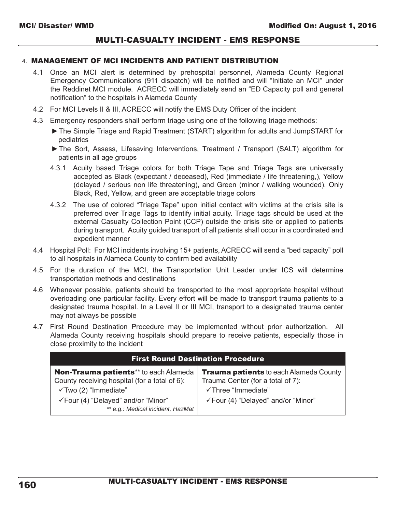## MULTI-CASUALTY INCIDENT - EMS RESPONSE

#### 4. MANAGEMENT OF MCI INCIDENTS AND PATIENT DISTRIBUTION

- 4.1 Once an MCI alert is determined by prehospital personnel, Alameda County Regional Emergency Communications (911 dispatch) will be notified and will "Initiate an MCI" under the Reddinet MCI module. ACRECC will immediately send an "ED Capacity poll and general notification" to the hospitals in Alameda County
- 4.2 For MCI Levels II & III, ACRECC will notify the EMS Duty Officer of the incident
- 4.3 Emergency responders shall perform triage using one of the following triage methods:
	- ▶ The Simple Triage and Rapid Treatment (START) algorithm for adults and JumpSTART for pediatrics
	- The Sort, Assess, Lifesaving Interventions, Treatment / Transport (SALT) algorithm for patients in all age groups
	- 4.3.1 Acuity based Triage colors for both Triage Tape and Triage Tags are universally accepted as Black (expectant / deceased), Red (immediate / life threatening,), Yellow (delayed / serious non life threatening), and Green (minor / walking wounded). Only Black, Red, Yellow, and green are acceptable triage colors
	- 4.3.2 The use of colored "Triage Tape" upon initial contact with victims at the crisis site is preferred over Triage Tags to identify initial acuity. Triage tags should be used at the external Casualty Collection Point (CCP) outside the crisis site or applied to patients during transport. Acuity guided transport of all patients shall occur in a coordinated and expedient manner
- 4.4 Hospital Poll: For MCI incidents involving 15+ patients, ACRECC will send a "bed capacity" poll to all hospitals in Alameda County to confirm bed availability
- 4.5 For the duration of the MCI, the Transportation Unit Leader under ICS will determine transportation methods and destinations
- 4.6 Whenever possible, patients should be transported to the most appropriate hospital without overloading one particular facility. Every effort will be made to transport trauma patients to a designated trauma hospital. In a Level II or III MCI, transport to a designated trauma center may not always be possible
- 4.7 First Round Destination Procedure may be implemented without prior authorization. All Alameda County receiving hospitals should prepare to receive patients, especially those in close proximity to the incident

| <b>First Round Destination Procedure</b>                                                                                                                                                              |                                                                                                                                                |  |
|-------------------------------------------------------------------------------------------------------------------------------------------------------------------------------------------------------|------------------------------------------------------------------------------------------------------------------------------------------------|--|
| Non-Trauma patients** to each Alameda<br>County receiving hospital (for a total of 6):<br>$\checkmark$ Two (2) "Immediate"<br>√Four (4) "Delayed" and/or "Minor"<br>** e.g.: Medical incident, HazMat | <b>Trauma patients to each Alameda County</b><br>Trauma Center (for a total of 7):<br>√Three "Immediate"<br>√Four (4) "Delayed" and/or "Minor" |  |